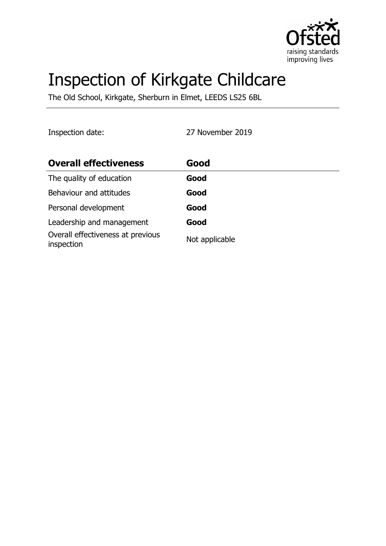

# Inspection of Kirkgate Childcare

The Old School, Kirkgate, Sherburn in Elmet, LEEDS LS25 6BL

Inspection date: 27 November 2019

| <b>Overall effectiveness</b>                    | Good           |
|-------------------------------------------------|----------------|
| The quality of education                        | Good           |
| Behaviour and attitudes                         | Good           |
| Personal development                            | Good           |
| Leadership and management                       | Good           |
| Overall effectiveness at previous<br>inspection | Not applicable |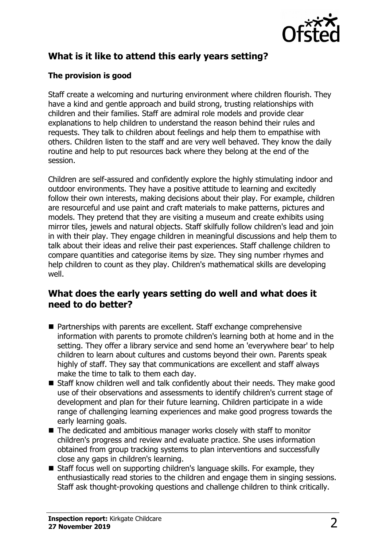

# **What is it like to attend this early years setting?**

## **The provision is good**

Staff create a welcoming and nurturing environment where children flourish. They have a kind and gentle approach and build strong, trusting relationships with children and their families. Staff are admiral role models and provide clear explanations to help children to understand the reason behind their rules and requests. They talk to children about feelings and help them to empathise with others. Children listen to the staff and are very well behaved. They know the daily routine and help to put resources back where they belong at the end of the session.

Children are self-assured and confidently explore the highly stimulating indoor and outdoor environments. They have a positive attitude to learning and excitedly follow their own interests, making decisions about their play. For example, children are resourceful and use paint and craft materials to make patterns, pictures and models. They pretend that they are visiting a museum and create exhibits using mirror tiles, jewels and natural objects. Staff skilfully follow children's lead and join in with their play. They engage children in meaningful discussions and help them to talk about their ideas and relive their past experiences. Staff challenge children to compare quantities and categorise items by size. They sing number rhymes and help children to count as they play. Children's mathematical skills are developing well.

## **What does the early years setting do well and what does it need to do better?**

- Partnerships with parents are excellent. Staff exchange comprehensive information with parents to promote children's learning both at home and in the setting. They offer a library service and send home an 'everywhere bear' to help children to learn about cultures and customs beyond their own. Parents speak highly of staff. They say that communications are excellent and staff always make the time to talk to them each day.
- $\blacksquare$  Staff know children well and talk confidently about their needs. They make good use of their observations and assessments to identify children's current stage of development and plan for their future learning. Children participate in a wide range of challenging learning experiences and make good progress towards the early learning goals.
- $\blacksquare$  The dedicated and ambitious manager works closely with staff to monitor children's progress and review and evaluate practice. She uses information obtained from group tracking systems to plan interventions and successfully close any gaps in children's learning.
- Staff focus well on supporting children's language skills. For example, they enthusiastically read stories to the children and engage them in singing sessions. Staff ask thought-provoking questions and challenge children to think critically.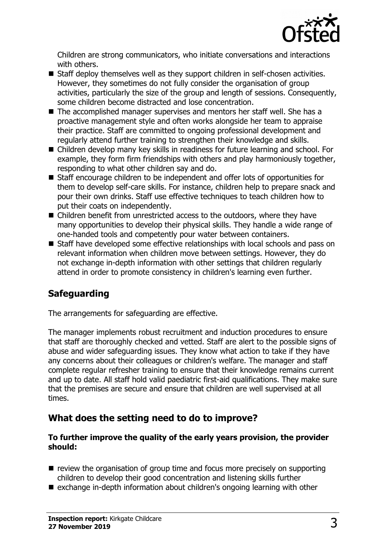

Children are strong communicators, who initiate conversations and interactions with others.

- $\blacksquare$  Staff deploy themselves well as they support children in self-chosen activities. However, they sometimes do not fully consider the organisation of group activities, particularly the size of the group and length of sessions. Consequently, some children become distracted and lose concentration.
- $\blacksquare$  The accomplished manager supervises and mentors her staff well. She has a proactive management style and often works alongside her team to appraise their practice. Staff are committed to ongoing professional development and regularly attend further training to strengthen their knowledge and skills.
- Children develop many key skills in readiness for future learning and school. For example, they form firm friendships with others and play harmoniously together, responding to what other children say and do.
- Staff encourage children to be independent and offer lots of opportunities for them to develop self-care skills. For instance, children help to prepare snack and pour their own drinks. Staff use effective techniques to teach children how to put their coats on independently.
- $\blacksquare$  Children benefit from unrestricted access to the outdoors, where they have many opportunities to develop their physical skills. They handle a wide range of one-handed tools and competently pour water between containers.
- Staff have developed some effective relationships with local schools and pass on relevant information when children move between settings. However, they do not exchange in-depth information with other settings that children regularly attend in order to promote consistency in children's learning even further.

# **Safeguarding**

The arrangements for safeguarding are effective.

The manager implements robust recruitment and induction procedures to ensure that staff are thoroughly checked and vetted. Staff are alert to the possible signs of abuse and wider safeguarding issues. They know what action to take if they have any concerns about their colleagues or children's welfare. The manager and staff complete regular refresher training to ensure that their knowledge remains current and up to date. All staff hold valid paediatric first-aid qualifications. They make sure that the premises are secure and ensure that children are well supervised at all times.

## **What does the setting need to do to improve?**

#### **To further improve the quality of the early years provision, the provider should:**

- $\blacksquare$  review the organisation of group time and focus more precisely on supporting children to develop their good concentration and listening skills further
- $\blacksquare$  exchange in-depth information about children's ongoing learning with other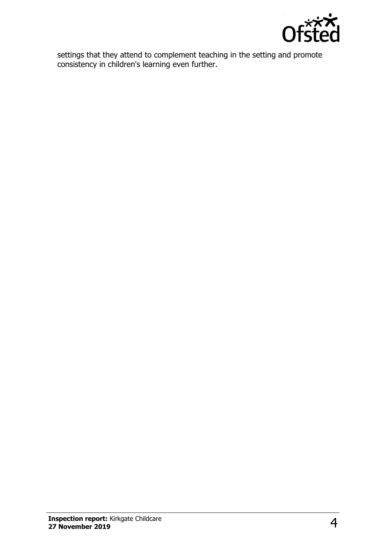

settings that they attend to complement teaching in the setting and promote consistency in children's learning even further.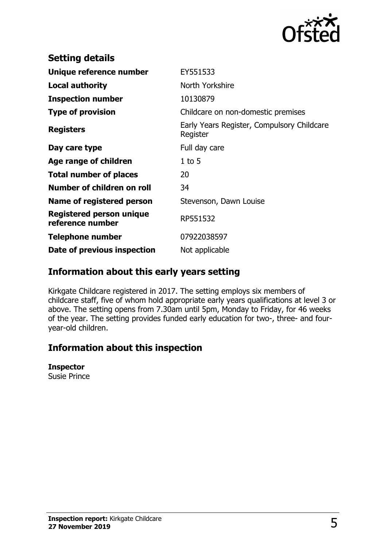

| <b>Setting details</b>                              |                                                        |
|-----------------------------------------------------|--------------------------------------------------------|
| Unique reference number                             | EY551533                                               |
| <b>Local authority</b>                              | North Yorkshire                                        |
| <b>Inspection number</b>                            | 10130879                                               |
| <b>Type of provision</b>                            | Childcare on non-domestic premises                     |
| <b>Registers</b>                                    | Early Years Register, Compulsory Childcare<br>Register |
| Day care type                                       | Full day care                                          |
| Age range of children                               | $1$ to 5                                               |
| <b>Total number of places</b>                       | 20                                                     |
| Number of children on roll                          | 34                                                     |
| <b>Name of registered person</b>                    | Stevenson, Dawn Louise                                 |
| <b>Registered person unique</b><br>reference number | RP551532                                               |
| <b>Telephone number</b>                             | 07922038597                                            |
| Date of previous inspection                         | Not applicable                                         |

## **Information about this early years setting**

Kirkgate Childcare registered in 2017. The setting employs six members of childcare staff, five of whom hold appropriate early years qualifications at level 3 or above. The setting opens from 7.30am until 5pm, Monday to Friday, for 46 weeks of the year. The setting provides funded early education for two-, three- and fouryear-old children.

## **Information about this inspection**

#### **Inspector**

Susie Prince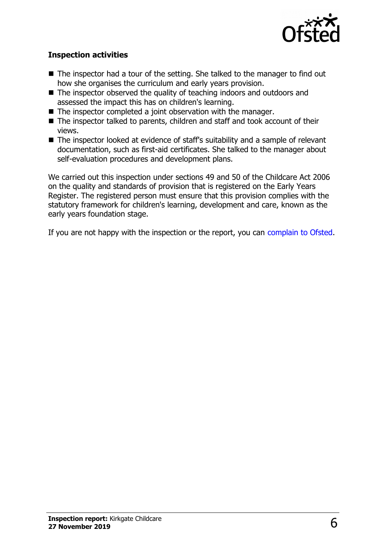

### **Inspection activities**

- $\blacksquare$  The inspector had a tour of the setting. She talked to the manager to find out how she organises the curriculum and early years provision.
- $\blacksquare$  The inspector observed the quality of teaching indoors and outdoors and assessed the impact this has on children's learning.
- $\blacksquare$  The inspector completed a joint observation with the manager.
- $\blacksquare$  The inspector talked to parents, children and staff and took account of their views.
- $\blacksquare$  The inspector looked at evidence of staff's suitability and a sample of relevant documentation, such as first-aid certificates. She talked to the manager about self-evaluation procedures and development plans.

We carried out this inspection under sections 49 and 50 of the Childcare Act 2006 on the quality and standards of provision that is registered on the Early Years Register. The registered person must ensure that this provision complies with the statutory framework for children's learning, development and care, known as the early years foundation stage.

If you are not happy with the inspection or the report, you can [complain to Ofsted.](http://www.gov.uk/complain-ofsted-report)